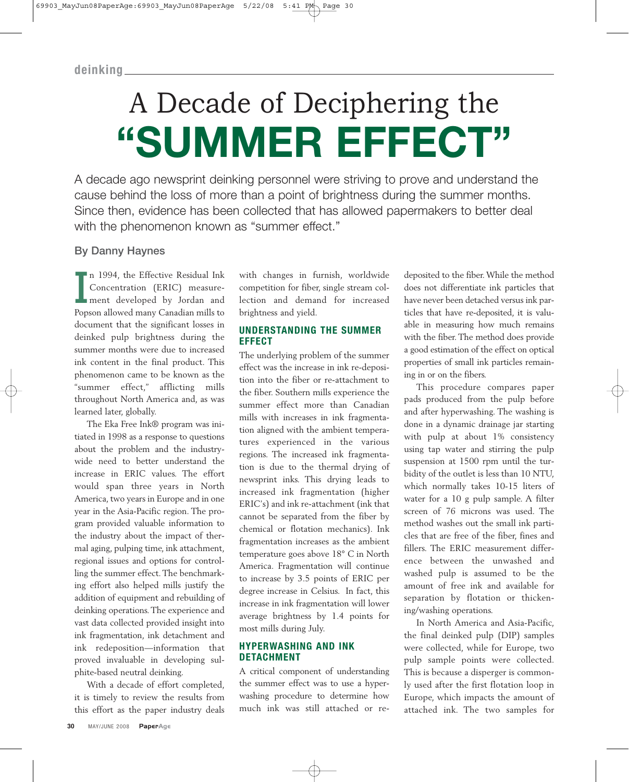# A Decade of Deciphering the **"SUMMER EFFECT"**

A decade ago newsprint deinking personnel were striving to prove and understand the cause behind the loss of more than a point of brightness during the summer months. Since then, evidence has been collected that has allowed papermakers to better deal with the phenomenon known as "summer effect."

# **By Danny Haynes**

In 1994, the Effective Residual Ink<br>Concentration (ERIC) measure-<br>ment developed by Jordan and<br>Popson allowed many Canadian mills to n 1994, the Effective Residual Ink Concentration (ERIC) measurement developed by Jordan and document that the significant losses in deinked pulp brightness during the summer months were due to increased ink content in the final product. This phenomenon came to be known as the "summer effect," afflicting mills throughout North America and, as was learned later, globally.

The Eka Free Ink® program was initiated in 1998 as a response to questions about the problem and the industrywide need to better understand the increase in ERIC values. The effort would span three years in North America, two years in Europe and in one year in the Asia-Pacific region. The program provided valuable information to the industry about the impact of thermal aging, pulping time, ink attachment, regional issues and options for controlling the summer effect. The benchmarking effort also helped mills justify the addition of equipment and rebuilding of deinking operations. The experience and vast data collected provided insight into ink fragmentation, ink detachment and ink redeposition—information that proved invaluable in developing sulphite-based neutral deinking.

With a decade of effort completed, it is timely to review the results from this effort as the paper industry deals

with changes in furnish, worldwide competition for fiber, single stream collection and demand for increased brightness and yield.

## **UNDERSTANDING THE SUMMER EFFECT**

The underlying problem of the summer effect was the increase in ink re-deposition into the fiber or re-attachment to the fiber. Southern mills experience the summer effect more than Canadian mills with increases in ink fragmentation aligned with the ambient temperatures experienced in the various regions. The increased ink fragmentation is due to the thermal drying of newsprint inks. This drying leads to increased ink fragmentation (higher ERIC's) and ink re-attachment (ink that cannot be separated from the fiber by chemical or flotation mechanics). Ink fragmentation increases as the ambient temperature goes above 18° C in North America. Fragmentation will continue to increase by 3.5 points of ERIC per degree increase in Celsius. In fact, this increase in ink fragmentation will lower average brightness by 1.4 points for most mills during July.

#### **HYPERWASHING AND INK DETACHMENT**

A critical component of understanding the summer effect was to use a hyperwashing procedure to determine how much ink was still attached or redeposited to the fiber. While the method does not differentiate ink particles that have never been detached versus ink particles that have re-deposited, it is valuable in measuring how much remains with the fiber. The method does provide a good estimation of the effect on optical properties of small ink particles remaining in or on the fibers.

This procedure compares paper pads produced from the pulp before and after hyperwashing. The washing is done in a dynamic drainage jar starting with pulp at about 1% consistency using tap water and stirring the pulp suspension at 1500 rpm until the turbidity of the outlet is less than 10 NTU, which normally takes 10-15 liters of water for a 10 g pulp sample. A filter screen of 76 microns was used. The method washes out the small ink particles that are free of the fiber, fines and fillers. The ERIC measurement difference between the unwashed and washed pulp is assumed to be the amount of free ink and available for separation by flotation or thickening/washing operations.

In North America and Asia-Pacific, the final deinked pulp (DIP) samples were collected, while for Europe, two pulp sample points were collected. This is because a disperger is commonly used after the first flotation loop in Europe, which impacts the amount of attached ink. The two samples for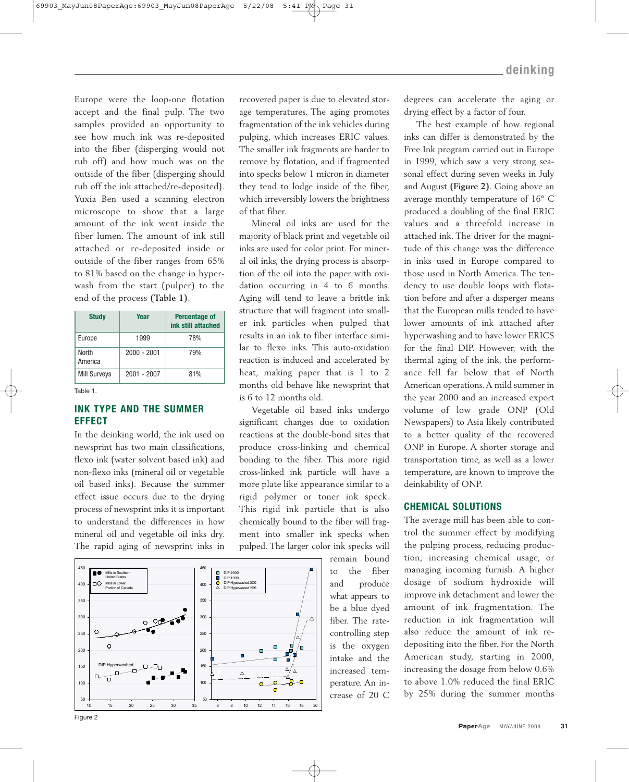Europe were the loop-one flotation accept and the final pulp. The two samples provided an opportunity to see how much ink was re-deposited into the fiber (disperging would not rub off) and how much was on the outside of the fiber (disperging should rub off the ink attached/re-deposited). Yuxia Ben used a scanning electron microscope to show that a large amount of the ink went inside the fiber lumen. The amount of ink still attached or re-deposited inside or outside of the fiber ranges from 65% to 81% based on the change in hyperwash from the start (pulper) to the end of the process **(Table 1)**.

| <b>Study</b>            | Year          | Percentage of<br>ink still attached |
|-------------------------|---------------|-------------------------------------|
| Europe                  | 1999          | 78%                                 |
| <b>North</b><br>America | $2000 - 2001$ | <b>79%</b>                          |
| <b>Mill Surveys</b>     | $2001 - 2007$ | 81%                                 |

Table 1.

## **INK TYPE AND THE SUMMER EFFECT**

In the deinking world, the ink used on newsprint has two main classifications, flexo ink (water solvent based ink) and non-flexo inks (mineral oil or vegetable oil based inks). Because the summer effect issue occurs due to the drying process of newsprint inks it is important to understand the differences in how mineral oil and vegetable oil inks dry. The rapid aging of newsprint inks in



recovered paper is due to elevated storage temperatures. The aging promotes fragmentation of the ink vehicles during pulping, which increases ERIC values. The smaller ink fragments are harder to remove by flotation, and if fragmented into specks below 1 micron in diameter they tend to lodge inside of the fiber, which irreversibly lowers the brightness of that fiber.

Mineral oil inks are used for the majority of black print and vegetable oil inks are used for color print. For mineral oil inks, the drying process is absorption of the oil into the paper with oxidation occurring in 4 to 6 months. Aging will tend to leave a brittle ink structure that will fragment into smaller ink particles when pulped that results in an ink to fiber interface similar to flexo inks. This auto-oxidation reaction is induced and accelerated by heat, making paper that is 1 to 2 months old behave like newsprint that is 6 to 12 months old.

Vegetable oil based inks undergo significant changes due to oxidation reactions at the double-bond sites that produce cross-linking and chemical bonding to the fiber. This more rigid cross-linked ink particle will have a more plate like appearance similar to a rigid polymer or toner ink speck. This rigid ink particle that is also chemically bound to the fiber will fragment into smaller ink specks when pulped. The larger color ink specks will

remain bound to the fiber and produce what appears to be a blue dyed fiber. The ratecontrolling step is the oxygen intake and the increased temperature. An increase of 20 C

degrees can accelerate the aging or drying effect by a factor of four.

The best example of how regional inks can differ is demonstrated by the Free Ink program carried out in Europe in 1999, which saw a very strong seasonal effect during seven weeks in July and August **(Figure 2)**. Going above an average monthly temperature of 16° C produced a doubling of the final ERIC values and a threefold increase in attached ink. The driver for the magnitude of this change was the difference in inks used in Europe compared to those used in North America. The tendency to use double loops with flotation before and after a disperger means that the European mills tended to have lower amounts of ink attached after hyperwashing and to have lower ERICS for the final DIP. However, with the thermal aging of the ink, the performance fell far below that of North American operations. A mild summer in the year 2000 and an increased export volume of low grade ONP (Old Newspapers) to Asia likely contributed to a better quality of the recovered ONP in Europe. A shorter storage and transportation time, as well as a lower temperature, are known to improve the deinkability of ONP.

## **CHEMICAL SOLUTIONS**

The average mill has been able to control the summer effect by modifying the pulping process, reducing production, increasing chemical usage, or managing incoming furnish. A higher dosage of sodium hydroxide will improve ink detachment and lower the amount of ink fragmentation. The reduction in ink fragmentation will also reduce the amount of ink redepositing into the fiber. For the North American study, starting in 2000, increasing the dosage from below 0.6% to above 1.0% reduced the final ERIC by 25% during the summer months

Figure 2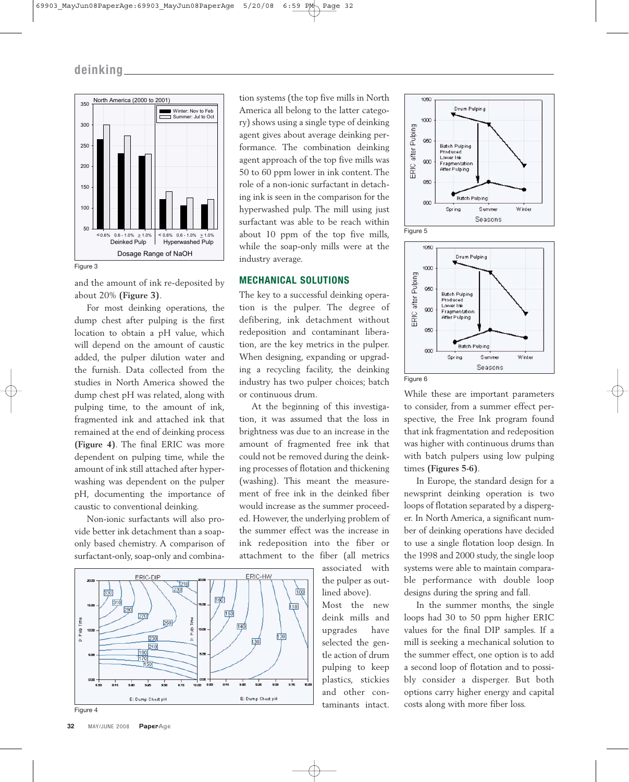

and the amount of ink re-deposited by about 20% **(Figure 3)**.

For most deinking operations, the dump chest after pulping is the first location to obtain a pH value, which will depend on the amount of caustic added, the pulper dilution water and the furnish. Data collected from the studies in North America showed the dump chest pH was related, along with pulping time, to the amount of ink, fragmented ink and attached ink that remained at the end of deinking process **(Figure 4)**. The final ERIC was more dependent on pulping time, while the amount of ink still attached after hyperwashing was dependent on the pulper pH, documenting the importance of caustic to conventional deinking.

Non-ionic surfactants will also provide better ink detachment than a soaponly based chemistry. A comparison of surfactant-only, soap-only and combina-



### **MECHANICAL SOLUTIONS**

The key to a successful deinking operation is the pulper. The degree of defibering, ink detachment without redeposition and contaminant liberation, are the key metrics in the pulper. When designing, expanding or upgrading a recycling facility, the deinking industry has two pulper choices; batch or continuous drum.

At the beginning of this investigation, it was assumed that the loss in brightness was due to an increase in the amount of fragmented free ink that could not be removed during the deinking processes of flotation and thickening (washing). This meant the measurement of free ink in the deinked fiber would increase as the summer proceeded. However, the underlying problem of the summer effect was the increase in ink redeposition into the fiber or attachment to the fiber (all metrics associated with



Figure 4







While these are important parameters to consider, from a summer effect perspective, the Free Ink program found that ink fragmentation and redeposition was higher with continuous drums than with batch pulpers using low pulping times **(Figures 5-6)**.

In Europe, the standard design for a newsprint deinking operation is two loops of flotation separated by a disperger. In North America, a significant number of deinking operations have decided to use a single flotation loop design. In the 1998 and 2000 study, the single loop systems were able to maintain comparable performance with double loop designs during the spring and fall.

In the summer months, the single loops had 30 to 50 ppm higher ERIC values for the final DIP samples. If a mill is seeking a mechanical solution to the summer effect, one option is to add a second loop of flotation and to possibly consider a disperger. But both options carry higher energy and capital costs along with more fiber loss.